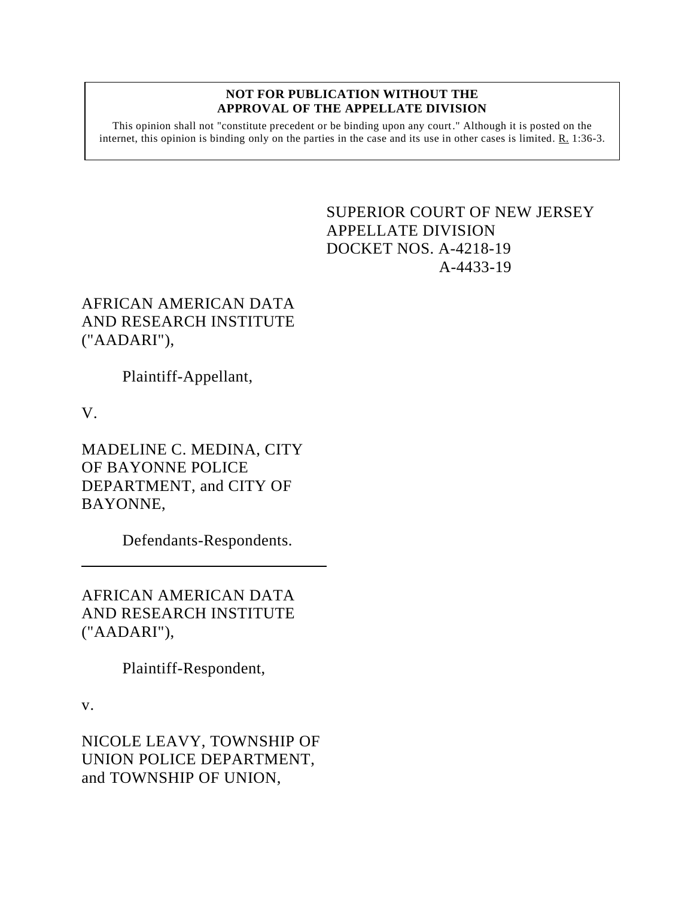#### **NOT FOR PUBLICATION WITHOUT THE APPROVAL OF THE APPELLATE DIVISION**

This opinion shall not "constitute precedent or be binding upon any court." Although it is posted on the internet, this opinion is binding only on the parties in the case and its use in other cases is limited. R. 1:36-3.

> <span id="page-0-0"></span>SUPERIOR COURT OF NEW JERSEY APPELLATE DIVISION DOCKET NOS. A-4218-19 A-4433-19

# AFRICAN AMERICAN DATA AND RESEARCH INSTITUTE ("AADARI"),

Plaintiff-Appellant,

V.

MADELINE C. MEDINA, CITY OF BAYONNE POLICE DEPARTMENT, and CITY OF BAYONNE,

Defendants-Respondents.

AFRICAN AMERICAN DATA AND RESEARCH INSTITUTE ("AADARI"),

Plaintiff-Respondent,

v.

NICOLE LEAVY, TOWNSHIP OF UNION POLICE DEPARTMENT, and TOWNSHIP OF UNION,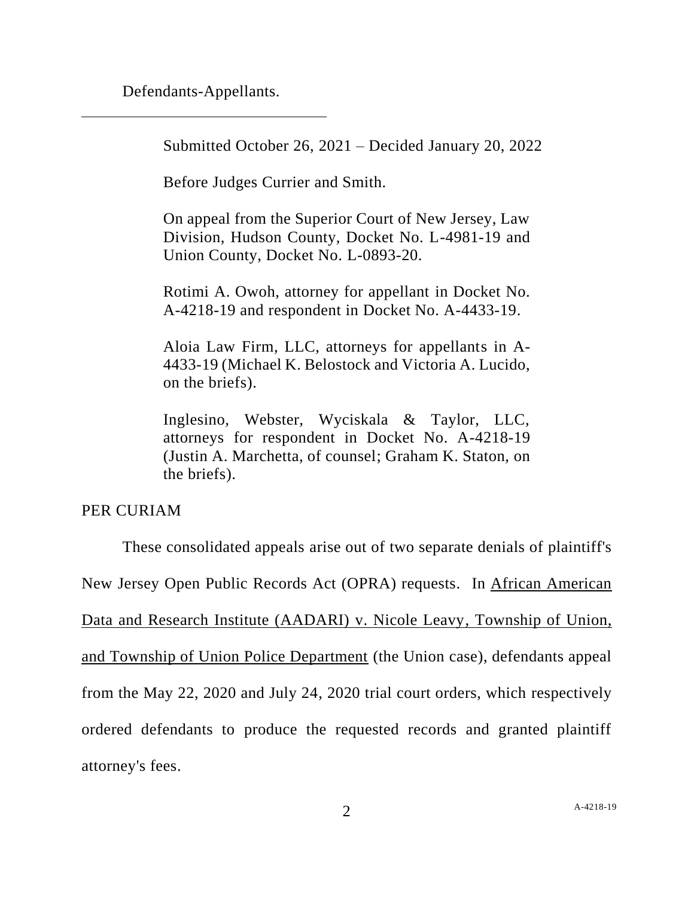Defendants-Appellants.

Submitted October 26, 2021 – Decided January 20, 2022

Before Judges Currier and Smith.

On appeal from the Superior Court of New Jersey, Law Division, Hudson County, Docket No. L-4981-19 and Union County, Docket No. L-0893-20.

Rotimi A. Owoh, attorney for appellant in Docket No. A-4218-19 and respondent in Docket No. A-4433-19.

Aloia Law Firm, LLC, attorneys for appellants in A-4433-19 (Michael K. Belostock and Victoria A. Lucido, on the briefs).

Inglesino, Webster, Wyciskala & Taylor, LLC, attorneys for respondent in Docket No. A-4218-19 (Justin A. Marchetta, of counsel; Graham K. Staton, on the briefs).

## PER CURIAM

These consolidated appeals arise out of two separate denials of plaintiff's New Jersey Open Public Records Act (OPRA) requests. In African American Data and Research Institute (AADARI) v. Nicole Leavy, Township of Union, and Township of Union Police Department (the Union case), defendants appeal from the May 22, 2020 and July 24, 2020 trial court orders, which respectively ordered defendants to produce the requested records and granted plaintiff attorney's fees.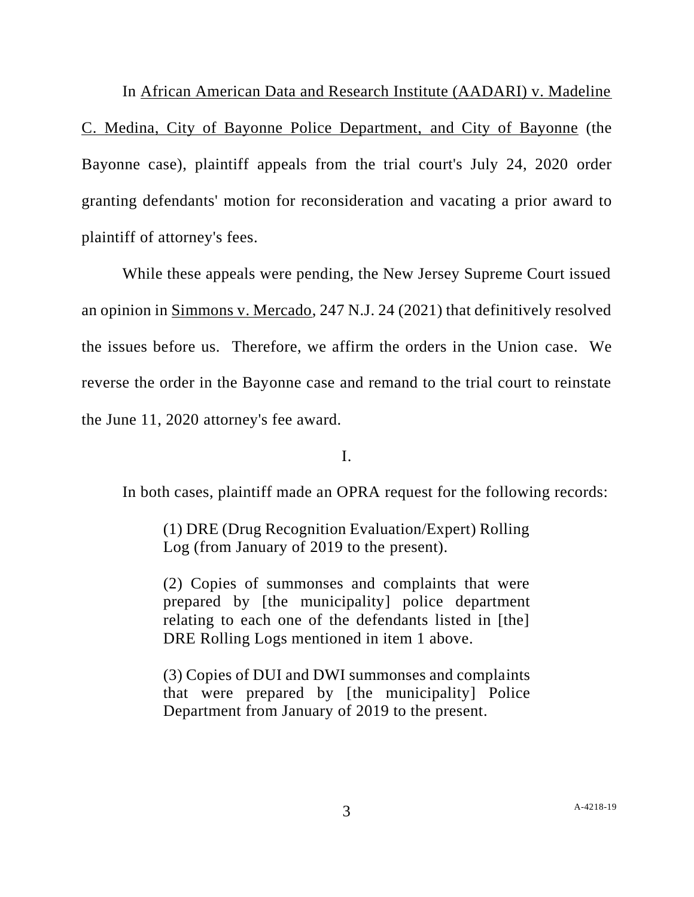In African American Data and Research Institute (AADARI) v. Madeline C. Medina, City of Bayonne Police Department, and City of Bayonne (the Bayonne case), plaintiff appeals from the trial court's July 24, 2020 order granting defendants' motion for reconsideration and vacating a prior award to plaintiff of attorney's fees.

While these appeals were pending, the New Jersey Supreme Court issued an opinion in Simmons v. Mercado, 247 N.J. 24 (2021) that definitively resolved the issues before us. Therefore, we affirm the orders in the Union case. We reverse the order in the Bayonne case and remand to the trial court to reinstate the June 11, 2020 attorney's fee award.

I.

In both cases, plaintiff made an OPRA request for the following records:

(1) DRE (Drug Recognition Evaluation/Expert) Rolling Log (from January of 2019 to the present).

(2) Copies of summonses and complaints that were prepared by [the municipality] police department relating to each one of the defendants listed in [the] DRE Rolling Logs mentioned in item 1 above.

(3) Copies of DUI and DWI summonses and complaints that were prepared by [the municipality] Police Department from January of 2019 to the present.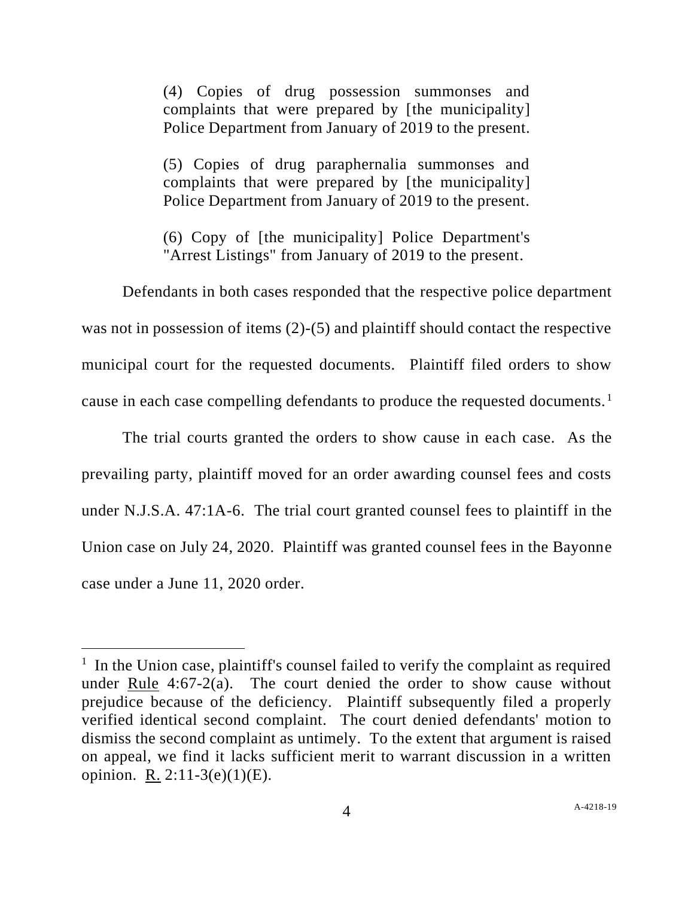(4) Copies of drug possession summonses and complaints that were prepared by [the municipality] Police Department from January of 2019 to the present.

(5) Copies of drug paraphernalia summonses and complaints that were prepared by [the municipality] Police Department from January of 2019 to the present.

(6) Copy of [the municipality] Police Department's "Arrest Listings" from January of 2019 to the present.

Defendants in both cases responded that the respective police department was not in possession of items (2)-(5) and plaintiff should contact the respective municipal court for the requested documents. Plaintiff filed orders to show cause in each case compelling defendants to produce the requested documents. <sup>1</sup>

The trial courts granted the orders to show cause in each case. As the prevailing party, plaintiff moved for an order awarding counsel fees and costs under N.J.S.A. 47:1A-6. The trial court granted counsel fees to plaintiff in the Union case on July 24, 2020. Plaintiff was granted counsel fees in the Bayonne case under a June 11, 2020 order.

<sup>&</sup>lt;sup>1</sup> In the Union case, plaintiff's counsel failed to verify the complaint as required under Rule 4:67-2(a). The court denied the order to show cause without prejudice because of the deficiency. Plaintiff subsequently filed a properly verified identical second complaint. The court denied defendants' motion to dismiss the second complaint as untimely. To the extent that argument is raised on appeal, we find it lacks sufficient merit to warrant discussion in a written opinion. R. 2:11-3(e)(1)(E).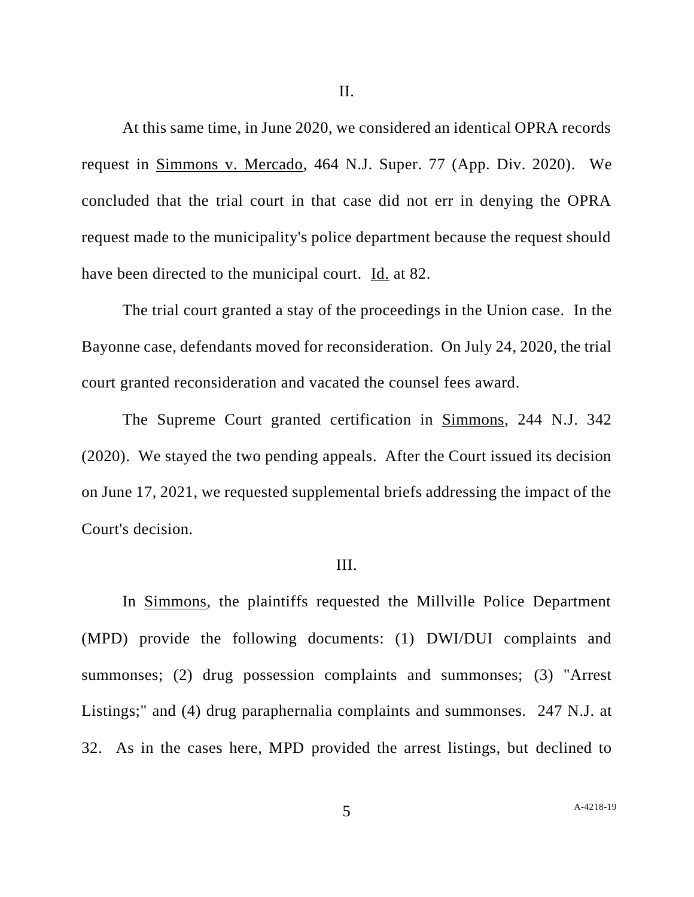At this same time, in June 2020, we considered an identical OPRA records request in Simmons v. Mercado, 464 N.J. Super. 77 (App. Div. 2020). We concluded that the trial court in that case did not err in denying the OPRA request made to the municipality's police department because the request should have been directed to the municipal court. Id. at 82.

The trial court granted a stay of the proceedings in the Union case. In the Bayonne case, defendants moved for reconsideration. On July 24, 2020, the trial court granted reconsideration and vacated the counsel fees award.

The Supreme Court granted certification in Simmons, 244 N.J. 342 (2020). We stayed the two pending appeals. After the Court issued its decision on June 17, 2021, we requested supplemental briefs addressing the impact of the Court's decision.

### III.

In Simmons, the plaintiffs requested the Millville Police Department (MPD) provide the following documents: (1) DWI/DUI complaints and summonses; (2) drug possession complaints and summonses; (3) "Arrest Listings;" and (4) drug paraphernalia complaints and summonses. 247 N.J. at 32. As in the cases here, MPD provided the arrest listings, but declined to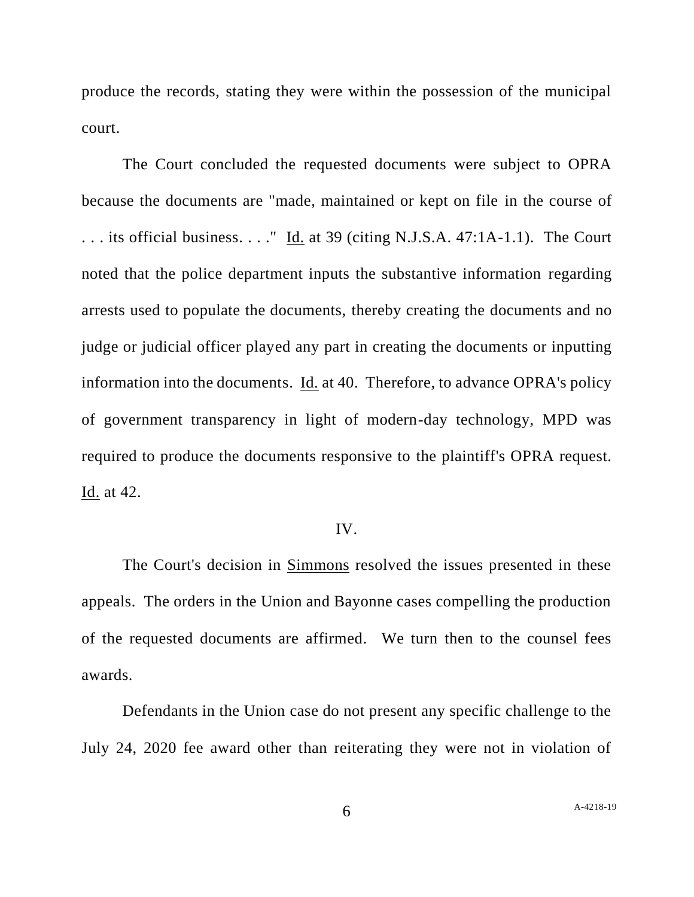produce the records, stating they were within the possession of the municipal court.

The Court concluded the requested documents were subject to OPRA because the documents are "made, maintained or kept on file in the course of . . . its official business. . . ." Id. at 39 (citing N.J.S.A. 47:1A-1.1). The Court noted that the police department inputs the substantive information regarding arrests used to populate the documents, thereby creating the documents and no judge or judicial officer played any part in creating the documents or inputting information into the documents. Id. at 40. Therefore, to advance OPRA's policy of government transparency in light of modern-day technology, MPD was required to produce the documents responsive to the plaintiff's OPRA request. Id. at 42.

### IV.

The Court's decision in <u>Simmons</u> resolved the issues presented in these appeals. The orders in the Union and Bayonne cases compelling the production of the requested documents are affirmed. We turn then to the counsel fees awards.

Defendants in the Union case do not present any specific challenge to the July 24, 2020 fee award other than reiterating they were not in violation of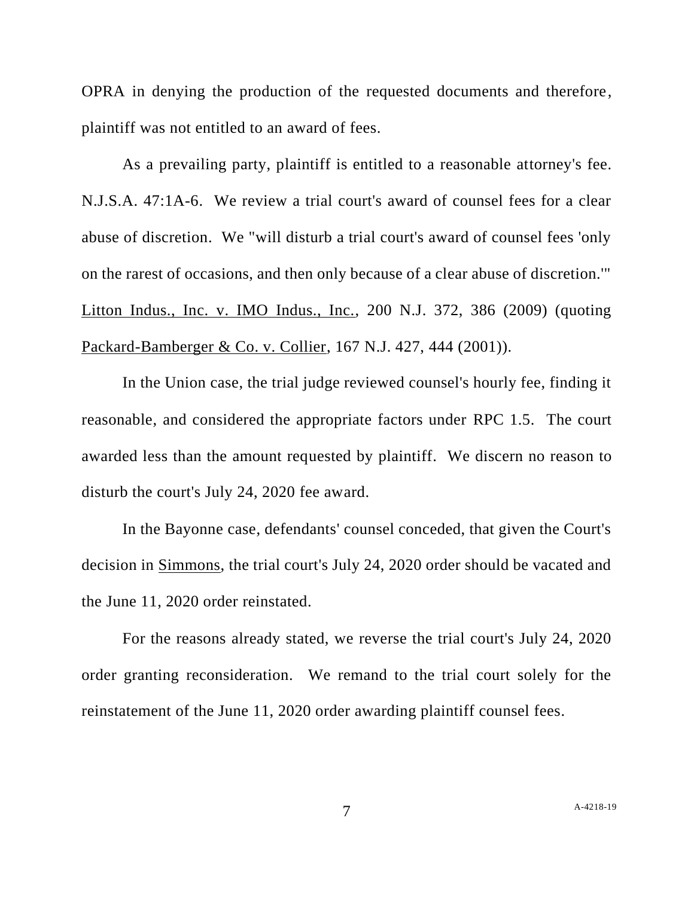OPRA in denying the production of the requested documents and therefore, plaintiff was not entitled to an award of fees.

As a prevailing party, plaintiff is entitled to a reasonable attorney's fee. N.J.S.A. 47:1A-6. We review a trial court's award of counsel fees for a clear abuse of discretion. We "will disturb a trial court's award of counsel fees 'only on the rarest of occasions, and then only because of a clear abuse of discretion.'" Litton Indus., Inc. v. IMO Indus., Inc., 200 N.J. 372, 386 (2009) (quoting Packard-Bamberger & Co. v. Collier, 167 N.J. 427, 444 (2001)).

In the Union case, the trial judge reviewed counsel's hourly fee, finding it reasonable, and considered the appropriate factors under RPC 1.5. The court awarded less than the amount requested by plaintiff. We discern no reason to disturb the court's July 24, 2020 fee award.

In the Bayonne case, defendants' counsel conceded, that given the Court's decision in Simmons, the trial court's July 24, 2020 order should be vacated and the June 11, 2020 order reinstated.

For the reasons already stated, we reverse the trial court's July 24, 2020 order granting reconsideration. We remand to the trial court solely for the reinstatement of the June 11, 2020 order awarding plaintiff counsel fees.